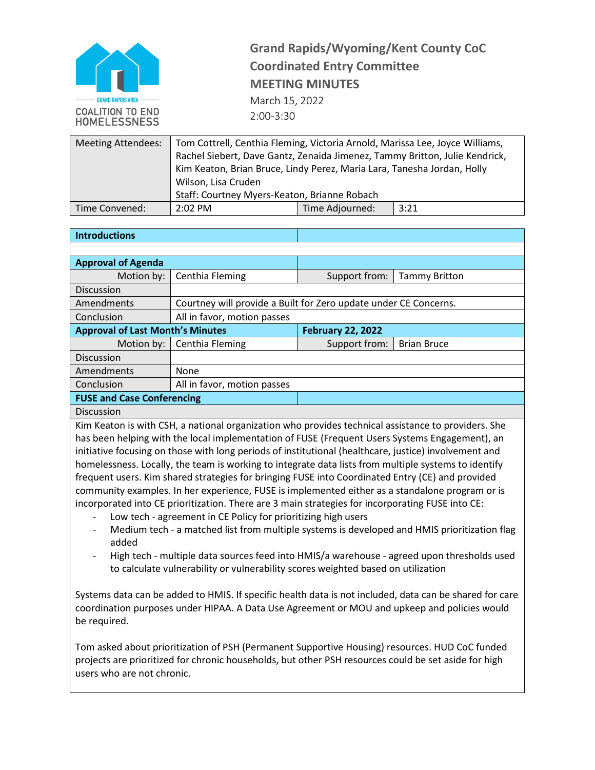

## **Grand Rapids/Wyoming/Kent County CoC Coordinated Entry Committee MEETING MINUTES** March 15, 2022 2:00-3:30

| <b>Meeting Attendees:</b> | Tom Cottrell, Centhia Fleming, Victoria Arnold, Marissa Lee, Joyce Williams,<br>Rachel Siebert, Dave Gantz, Zenaida Jimenez, Tammy Britton, Julie Kendrick,<br>Kim Keaton, Brian Bruce, Lindy Perez, Maria Lara, Tanesha Jordan, Holly<br>Wilson, Lisa Cruden<br>Staff: Courtney Myers-Keaton, Brianne Robach |                 |      |
|---------------------------|---------------------------------------------------------------------------------------------------------------------------------------------------------------------------------------------------------------------------------------------------------------------------------------------------------------|-----------------|------|
| Time Convened:            | $2:02$ PM                                                                                                                                                                                                                                                                                                     | Time Adjourned: | 3:21 |

| <b>Introductions</b>                                                                               |                                                                  |                          |                      |  |
|----------------------------------------------------------------------------------------------------|------------------------------------------------------------------|--------------------------|----------------------|--|
|                                                                                                    |                                                                  |                          |                      |  |
| <b>Approval of Agenda</b>                                                                          |                                                                  |                          |                      |  |
|                                                                                                    |                                                                  |                          |                      |  |
| Motion by:                                                                                         | Centhia Fleming                                                  | Support from:            | <b>Tammy Britton</b> |  |
| <b>Discussion</b>                                                                                  |                                                                  |                          |                      |  |
| Amendments                                                                                         | Courtney will provide a Built for Zero update under CE Concerns. |                          |                      |  |
| Conclusion                                                                                         | All in favor, motion passes                                      |                          |                      |  |
| <b>Approval of Last Month's Minutes</b>                                                            |                                                                  | <b>February 22, 2022</b> |                      |  |
| Motion by:                                                                                         | Centhia Fleming                                                  | Support from:            | <b>Brian Bruce</b>   |  |
| <b>Discussion</b>                                                                                  |                                                                  |                          |                      |  |
| Amendments                                                                                         | None                                                             |                          |                      |  |
| Conclusion                                                                                         | All in favor, motion passes                                      |                          |                      |  |
| <b>FUSE and Case Conferencing</b>                                                                  |                                                                  |                          |                      |  |
| <b>Discussion</b>                                                                                  |                                                                  |                          |                      |  |
| Kim Koatan is with CCH a national expanization who provides tochnical assistance to providers. She |                                                                  |                          |                      |  |

Kim Keaton is with CSH, a national organization who provides technical assistance to providers. She has been helping with the local implementation of FUSE (Frequent Users Systems Engagement), an initiative focusing on those with long periods of institutional (healthcare, justice) involvement and homelessness. Locally, the team is working to integrate data lists from multiple systems to identify frequent users. Kim shared strategies for bringing FUSE into Coordinated Entry (CE) and provided community examples. In her experience, FUSE is implemented either as a standalone program or is incorporated into CE prioritization. There are 3 main strategies for incorporating FUSE into CE:

- Low tech agreement in CE Policy for prioritizing high users
- Medium tech a matched list from multiple systems is developed and HMIS prioritization flag added
- High tech multiple data sources feed into HMIS/a warehouse agreed upon thresholds used to calculate vulnerability or vulnerability scores weighted based on utilization

Systems data can be added to HMIS. If specific health data is not included, data can be shared for care coordination purposes under HIPAA. A Data Use Agreement or MOU and upkeep and policies would be required.

Tom asked about prioritization of PSH (Permanent Supportive Housing) resources. HUD CoC funded projects are prioritized for chronic households, but other PSH resources could be set aside for high users who are not chronic.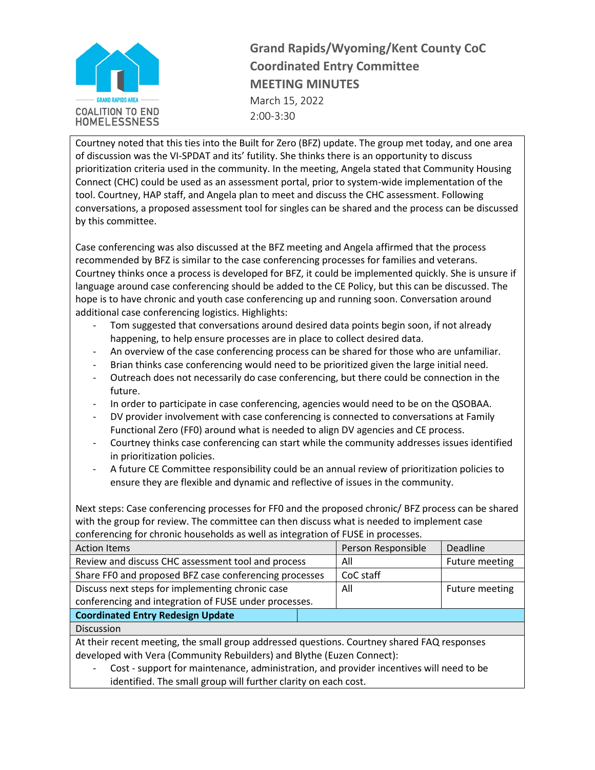

**Grand Rapids/Wyoming/Kent County CoC Coordinated Entry Committee MEETING MINUTES** March 15, 2022 2:00-3:30

Courtney noted that this ties into the Built for Zero (BFZ) update. The group met today, and one area of discussion was the VI-SPDAT and its' futility. She thinks there is an opportunity to discuss prioritization criteria used in the community. In the meeting, Angela stated that Community Housing Connect (CHC) could be used as an assessment portal, prior to system-wide implementation of the tool. Courtney, HAP staff, and Angela plan to meet and discuss the CHC assessment. Following conversations, a proposed assessment tool for singles can be shared and the process can be discussed by this committee.

Case conferencing was also discussed at the BFZ meeting and Angela affirmed that the process recommended by BFZ is similar to the case conferencing processes for families and veterans. Courtney thinks once a process is developed for BFZ, it could be implemented quickly. She is unsure if language around case conferencing should be added to the CE Policy, but this can be discussed. The hope is to have chronic and youth case conferencing up and running soon. Conversation around additional case conferencing logistics. Highlights:

- Tom suggested that conversations around desired data points begin soon, if not already happening, to help ensure processes are in place to collect desired data.
- An overview of the case conferencing process can be shared for those who are unfamiliar.
- Brian thinks case conferencing would need to be prioritized given the large initial need.
- Outreach does not necessarily do case conferencing, but there could be connection in the future.
- In order to participate in case conferencing, agencies would need to be on the QSOBAA.
- DV provider involvement with case conferencing is connected to conversations at Family Functional Zero (FF0) around what is needed to align DV agencies and CE process.
- Courtney thinks case conferencing can start while the community addresses issues identified in prioritization policies.
- A future CE Committee responsibility could be an annual review of prioritization policies to ensure they are flexible and dynamic and reflective of issues in the community.

Next steps: Case conferencing processes for FF0 and the proposed chronic/ BFZ process can be shared with the group for review. The committee can then discuss what is needed to implement case conferencing for chronic households as well as integration of FUSE in processes.

| <b>Action Items</b>                                                                         |  | Person Responsible | Deadline       |
|---------------------------------------------------------------------------------------------|--|--------------------|----------------|
| Review and discuss CHC assessment tool and process                                          |  | All                | Future meeting |
| Share FF0 and proposed BFZ case conferencing processes                                      |  | CoC staff          |                |
| Discuss next steps for implementing chronic case                                            |  | All                | Future meeting |
| conferencing and integration of FUSE under processes.                                       |  |                    |                |
| <b>Coordinated Entry Redesign Update</b>                                                    |  |                    |                |
| <b>Discussion</b>                                                                           |  |                    |                |
| At their recent meeting, the small group addressed questions. Courtney shared FAQ responses |  |                    |                |
| developed with Vera (Community Rebuilders) and Blythe (Euzen Connect):                      |  |                    |                |
|                                                                                             |  |                    |                |

- Cost - support for maintenance, administration, and provider incentives will need to be identified. The small group will further clarity on each cost.